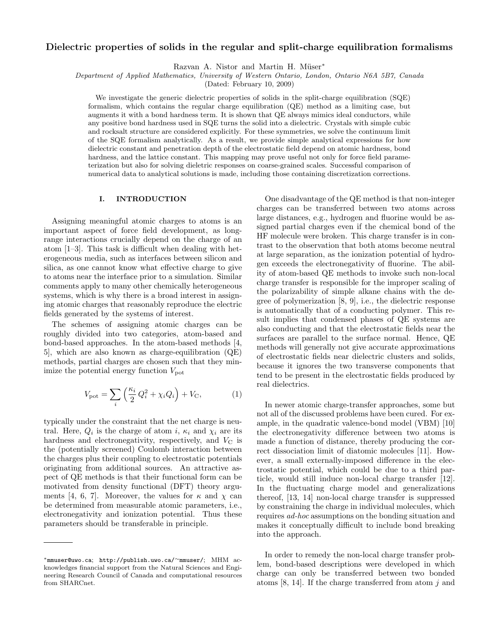# Dielectric properties of solids in the regular and split-charge equilibration formalisms

Razvan A. Nistor and Martin H. Müser<sup>\*</sup>

Department of Applied Mathematics, University of Western Ontario, London, Ontario N6A 5B7, Canada

(Dated: February 10, 2009)

We investigate the generic dielectric properties of solids in the split-charge equilibration (SQE) formalism, which contains the regular charge equilibration (QE) method as a limiting case, but augments it with a bond hardness term. It is shown that QE always mimics ideal conductors, while any positive bond hardness used in SQE turns the solid into a dielectric. Crystals with simple cubic and rocksalt structure are considered explicitly. For these symmetries, we solve the continuum limit of the SQE formalism analytically. As a result, we provide simple analytical expressions for how dielectric constant and penetration depth of the electrostatic field depend on atomic hardness, bond hardness, and the lattice constant. This mapping may prove useful not only for force field parameterization but also for solving dieletric responses on coarse-grained scales. Successful comparison of numerical data to analytical solutions is made, including those containing discretization corrections.

# I. INTRODUCTION

Assigning meaningful atomic charges to atoms is an important aspect of force field development, as longrange interactions crucially depend on the charge of an atom [1–3]. This task is difficult when dealing with heterogeneous media, such as interfaces between silicon and silica, as one cannot know what effective charge to give to atoms near the interface prior to a simulation. Similar comments apply to many other chemically heterogeneous systems, which is why there is a broad interest in assigning atomic charges that reasonably reproduce the electric fields generated by the systems of interest.

The schemes of assigning atomic charges can be roughly divided into two categories, atom-based and bond-based approaches. In the atom-based methods [4, 5], which are also known as charge-equilibration (QE) methods, partial charges are chosen such that they minimize the potential energy function  $V_{\text{pot}}$ 

$$
V_{\text{pot}} = \sum_{i} \left( \frac{\kappa_i}{2} Q_i^2 + \chi_i Q_i \right) + V_{\text{C}},\tag{1}
$$

typically under the constraint that the net charge is neutral. Here,  $Q_i$  is the charge of atom i,  $\kappa_i$  and  $\chi_i$  are its hardness and electronegativity, respectively, and  $V_{\rm C}$  is the (potentially screened) Coulomb interaction between the charges plus their coupling to electrostatic potentials originating from additional sources. An attractive aspect of QE methods is that their functional form can be motivated from density functional (DFT) theory arguments [4, 6, 7]. Moreover, the values for  $\kappa$  and  $\chi$  can be determined from measurable atomic parameters, i.e., electronegativity and ionization potential. Thus these parameters should be transferable in principle.

One disadvantage of the QE method is that non-integer charges can be transferred between two atoms across large distances, e.g., hydrogen and fluorine would be assigned partial charges even if the chemical bond of the HF molecule were broken. This charge transfer is in contrast to the observation that both atoms become neutral at large separation, as the ionization potential of hydrogen exceeds the electronegativity of fluorine. The ability of atom-based QE methods to invoke such non-local charge transfer is responsible for the improper scaling of the polarizability of simple alkane chains with the degree of polymerization [8, 9], i.e., the dielectric response is automatically that of a conducting polymer. This result implies that condensed phases of QE systems are also conducting and that the electrostatic fields near the surfaces are parallel to the surface normal. Hence, QE methods will generally not give accurate approximations of electrostatic fields near dielectric clusters and solids, because it ignores the two transverse components that tend to be present in the electrostatic fields produced by real dielectrics.

In newer atomic charge-transfer approaches, some but not all of the discussed problems have been cured. For example, in the quadratic valence-bond model (VBM) [10] the electronegativity difference between two atoms is made a function of distance, thereby producing the correct dissociation limit of diatomic molecules [11]. However, a small externally-imposed difference in the electrostatic potential, which could be due to a third particle, would still induce non-local charge transfer [12]. In the fluctuating charge model and generalizations thereof, [13, 14] non-local charge transfer is suppressed by constraining the charge in individual molecules, which requires ad-hoc assumptions on the bonding situation and makes it conceptually difficult to include bond breaking into the approach.

In order to remedy the non-local charge transfer problem, bond-based descriptions were developed in which charge can only be transferred between two bonded atoms  $[8, 14]$ . If the charge transferred from atom j and

<sup>∗</sup>mmuser@uwo.ca; http://publish.uwo.ca/∼mmuser/; MHM acknowledges financial support from the Natural Sciences and Engineering Research Council of Canada and computational resources from SHARCnet.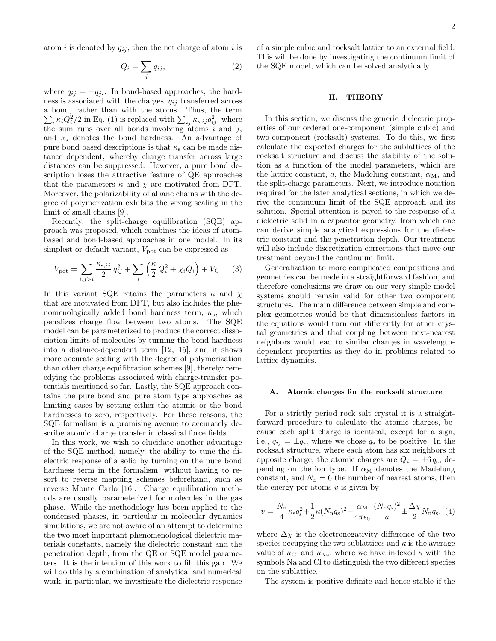atom i is denoted by  $q_{ij}$ , then the net charge of atom i is

$$
Q_i = \sum_j q_{ij},\tag{2}
$$

where  $q_{ij} = -q_{ji}$ . In bond-based approaches, the hardness is associated with the charges,  $q_{ij}$  transferred across a bond, rather than with the atoms. Thus, the term  $\sum_i \kappa_i Q_i^2/2$  in Eq. (1) is replaced with  $\sum_{ij} \kappa_{s,ij} q_{ij}^2$ , where the sum runs over all bonds involving atoms  $\tilde{i}$  and  $j$ , and  $\kappa_s$  denotes the bond hardness. An advantage of pure bond based descriptions is that  $\kappa_s$  can be made distance dependent, whereby charge transfer across large distances can be suppressed. However, a pure bond description loses the attractive feature of QE approaches that the parameters  $\kappa$  and  $\chi$  are motivated from DFT. Moreover, the polarizability of alkane chains with the degree of polymerization exhibits the wrong scaling in the limit of small chains [9].

Recently, the split-charge equilibration (SQE) approach was proposed, which combines the ideas of atombased and bond-based approaches in one model. In its simplest or default variant,  $V_{pot}$  can be expressed as

$$
V_{\rm pot} = \sum_{i,j>i} \frac{\kappa_{\rm s,ij}}{2} q_{ij}^2 + \sum_i \left(\frac{\kappa}{2} Q_i^2 + \chi_i Q_i\right) + V_{\rm C}.
$$
 (3)

In this variant SQE retains the parameters  $\kappa$  and  $\chi$ that are motivated from DFT, but also includes the phenomenologically added bond hardness term,  $\kappa_{\rm s}$ , which penalizes charge flow between two atoms. The SQE model can be parameterized to produce the correct dissociation limits of molecules by turning the bond hardness into a distance-dependent term [12, 15], and it shows more accurate scaling with the degree of polymerization than other charge equilibration schemes [9], thereby remedying the problems associated with charge-transfer potentials mentioned so far. Lastly, the SQE approach contains the pure bond and pure atom type approaches as limiting cases by setting either the atomic or the bond hardnesses to zero, respectively. For these reasons, the SQE formalism is a promising avenue to accurately describe atomic charge transfer in classical force fields.

In this work, we wish to elucidate another advantage of the SQE method, namely, the ability to tune the dielectric response of a solid by turning on the pure bond hardness term in the formalism, without having to resort to reverse mapping schemes beforehand, such as reverse Monte Carlo [16]. Charge equilibration methods are usually parameterized for molecules in the gas phase. While the methodology has been applied to the condensed phases, in particular in molecular dynamics simulations, we are not aware of an attempt to determine the two most important phenomenological dielectric materials constants, namely the dielectric constant and the penetration depth, from the QE or SQE model parameters. It is the intention of this work to fill this gap. We will do this by a combination of analytical and numerical work, in particular, we investigate the dielectric response

of a simple cubic and rocksalt lattice to an external field. This will be done by investigating the continuum limit of the SQE model, which can be solved analytically.

## II. THEORY

In this section, we discuss the generic dielectric properties of our ordered one-component (simple cubic) and two-component (rocksalt) systems. To do this, we first calculate the expected charges for the sublattices of the rocksalt structure and discuss the stability of the solution as a function of the model parameters, which are the lattice constant, a, the Madelung constant,  $\alpha_M$ , and the split-charge parameters. Next, we introduce notation required for the later analytical sections, in which we derive the continuum limit of the SQE approach and its solution. Special attention is payed to the response of a dielectric solid in a capacitor geometry, from which one can derive simple analytical expressions for the dielectric constant and the penetration depth. Our treatment will also include discretization corrections that move our treatment beyond the continuum limit.

Generalization to more complicated compositions and geometries can be made in a straightforward fashion, and therefore conclusions we draw on our very simple model systems should remain valid for other two component structures. The main difference between simple and complex geometries would be that dimensionless factors in the equations would turn out differently for other crystal geometries and that coupling between next-nearest neighbors would lead to similar changes in wavelengthdependent properties as they do in problems related to lattice dynamics.

#### A. Atomic charges for the rocksalt structure

For a strictly period rock salt crystal it is a straightforward procedure to calculate the atomic charges, because each split charge is identical, except for a sign, i.e.,  $q_{ij} = \pm q_s$ , where we chose  $q_s$  to be positive. In the rocksalt structure, where each atom has six neighbors of opposite charge, the atomic charges are  $Q_i = \pm 6 q_s$ , depending on the ion type. If  $\alpha_M$  denotes the Madelung constant, and  $N_{\rm n}=6$  the number of nearest atoms, then the energy per atoms  $v$  is given by

$$
v = \frac{N_{\rm n}}{4} \kappa_{\rm s} q_{\rm s}^2 + \frac{1}{2} \kappa (N_{\rm n} q_{\rm s})^2 - \frac{\alpha_{\rm M}}{4\pi\epsilon_0} \frac{(N_{\rm n} q_{\rm s})^2}{a} \pm \frac{\Delta \chi}{2} N_{\rm n} q_{\rm s}, \tag{4}
$$

where  $\Delta \chi$  is the electronegativity difference of the two species occupying the two sublattices and  $\kappa$  is the average value of  $\kappa_{\text{Cl}}$  and  $\kappa_{\text{Na}}$ , where we have indexed  $\kappa$  with the symbols Na and Cl to distinguish the two different species on the sublattice.

The system is positive definite and hence stable if the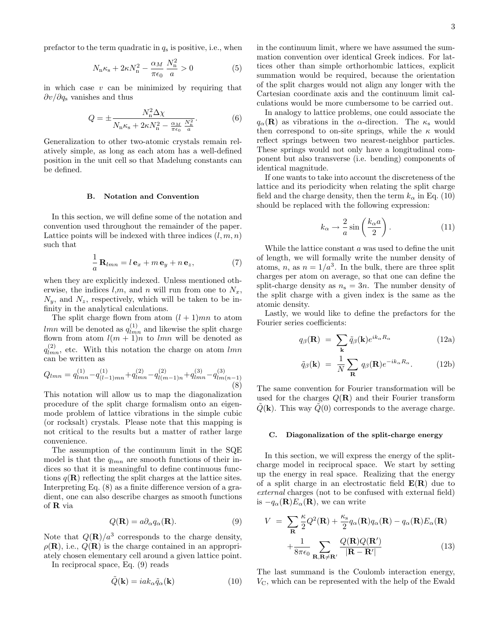prefactor to the term quadratic in  $q_s$  is positive, i.e., when

$$
N_{\rm n}\kappa_{\rm s} + 2\kappa N_{\rm n}^2 - \frac{\alpha_M}{\pi \epsilon_0} \frac{N_{\rm n}^2}{a} > 0 \tag{5}
$$

in which case  $v$  can be minimized by requiring that  $\partial v/\partial q_s$  vanishes and thus

$$
Q = \pm \frac{N_{\rm n}^2 \Delta \chi}{N_{\rm n} \kappa_{\rm s} + 2\kappa N_{\rm n}^2 - \frac{\alpha_M}{\pi \epsilon_0} \frac{N_{\rm n}^2}{a}}.
$$
(6)

Generalization to other two-atomic crystals remain relatively simple, as long as each atom has a well-defined position in the unit cell so that Madelung constants can be defined.

## B. Notation and Convention

In this section, we will define some of the notation and convention used throughout the remainder of the paper. Lattice points will be indexed with three indices  $(l, m, n)$ such that

$$
\frac{1}{a}\mathbf{R}_{lmn} = l\mathbf{e}_x + m\mathbf{e}_y + n\mathbf{e}_z, \tag{7}
$$

when they are explicitly indexed. Unless mentioned otherwise, the indices l,m, and n will run from one to  $N_x$ ,  $N_y$ , and  $N_z$ , respectively, which will be taken to be infinity in the analytical calculations.

The split charge flown from atom  $(l + 1)mn$  to atom *lmn* will be denoted as  $q_{lmn}^{(1)}$  and likewise the split charge flown from atom  $l(m + 1)n$  to lmn will be denoted as  $q_{lmn}^{(2)}$ , etc. With this notation the charge on atom  $lmn$ can be written as

$$
Q_{lmn} = q_{lmn}^{(1)} - q_{(l-1)mn}^{(1)} + q_{lmn}^{(2)} - q_{l(m-1)n}^{(2)} + q_{lmn}^{(3)} - q_{lm(n-1)}^{(3)}
$$
\n(8)

This notation will allow us to map the diagonalization procedure of the split charge formalism onto an eigenmode problem of lattice vibrations in the simple cubic (or rocksalt) crystals. Please note that this mapping is not critical to the results but a matter of rather large convenience.

The assumption of the continuum limit in the SQE model is that the  $q_{lmn}$  are smooth functions of their indices so that it is meaningful to define continuous functions  $q(\mathbf{R})$  reflecting the split charges at the lattice sites. Interpreting Eq. (8) as a finite difference version of a gradient, one can also describe charges as smooth functions of R via

$$
Q(\mathbf{R}) = a\partial_{\alpha}q_{\alpha}(\mathbf{R}).\tag{9}
$$

Note that  $Q(\mathbf{R})/a^3$  corresponds to the charge density,  $\rho(\mathbf{R})$ , i.e.,  $Q(\mathbf{R})$  is the charge contained in an appropriately chosen elementary cell around a given lattice point.

In reciprocal space, Eq. (9) reads

$$
\tilde{Q}(\mathbf{k}) = i a k_{\alpha} \tilde{q}_{\alpha}(\mathbf{k}) \tag{10}
$$

in the continuum limit, where we have assumed the summation convention over identical Greek indices. For lattices other than simple orthorhombic lattices, explicit summation would be required, because the orientation of the split charges would not align any longer with the Cartesian coordinate axis and the continuum limit calculations would be more cumbersome to be carried out.

In analogy to lattice problems, one could associate the  $q_{\alpha}(\mathbf{R})$  as vibrations in the  $\alpha$ -direction. The  $\kappa_{\rm s}$  would then correspond to on-site springs, while the  $\kappa$  would reflect springs between two nearest-neighbor particles. These springs would not only have a longitudinal component but also transverse (i.e. bending) components of identical magnitude.

If one wants to take into account the discreteness of the lattice and its periodicity when relating the split charge field and the charge density, then the term  $k_{\alpha}$  in Eq. (10) should be replaced with the following expression:

$$
k_{\alpha} \to \frac{2}{a} \sin\left(\frac{k_{\alpha} a}{2}\right). \tag{11}
$$

While the lattice constant a was used to define the unit of length, we will formally write the number density of atoms, n, as  $n = 1/a<sup>3</sup>$ . In the bulk, there are three split charges per atom on average, so that one can define the split-charge density as  $n_s = 3n$ . The number density of the split charge with a given index is the same as the atomic density.

Lastly, we would like to define the prefactors for the Fourier series coefficients:

$$
q_{\beta}(\mathbf{R}) = \sum_{\mathbf{k}} \tilde{q}_{\beta}(\mathbf{k}) e^{ik_{\alpha}R_{\alpha}} \qquad (12a)
$$

$$
\tilde{q}_{\beta}(\mathbf{k}) = \frac{1}{N} \sum_{\mathbf{R}} q_{\beta}(\mathbf{R}) e^{-ik_{\alpha}R_{\alpha}}.
$$
 (12b)

The same convention for Fourier transformation will be used for the charges  $Q(\mathbf{R})$  and their Fourier transform  $Q(\mathbf{k})$ . This way  $Q(0)$  corresponds to the average charge.

#### C. Diagonalization of the split-charge energy

In this section, we will express the energy of the splitcharge model in reciprocal space. We start by setting up the energy in real space. Realizing that the energy of a split charge in an electrostatic field  $E(R)$  due to external charges (not to be confused with external field) is  $-q_\alpha(\mathbf{R})E_\alpha(\mathbf{R})$ , we can write

$$
V = \sum_{\mathbf{R}} \frac{\kappa}{2} Q^2(\mathbf{R}) + \frac{\kappa_s}{2} q_\alpha(\mathbf{R}) q_\alpha(\mathbf{R}) - q_\alpha(\mathbf{R}) E_\alpha(\mathbf{R})
$$

$$
+ \frac{1}{8\pi\epsilon_0} \sum_{\mathbf{R}, \mathbf{R} \neq \mathbf{R}'} \frac{Q(\mathbf{R}) Q(\mathbf{R'})}{|\mathbf{R} - \mathbf{R'}|}
$$
(13)

The last summand is the Coulomb interaction energy,  $V_{\rm C}$ , which can be represented with the help of the Ewald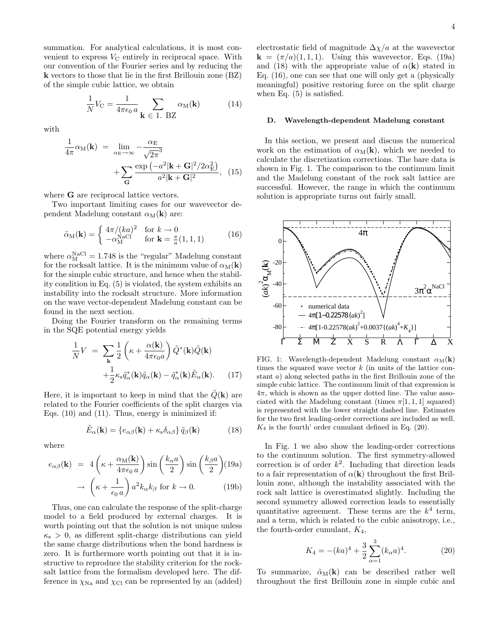summation. For analytical calculations, it is most convenient to express  $V_{\rm C}$  entirely in reciprocal space. With our convention of the Fourier series and by reducing the k vectors to those that lie in the first Brillouin zone (BZ) of the simple cubic lattice, we obtain

$$
\frac{1}{N}V_{\rm C} = \frac{1}{4\pi\epsilon_0 a} \sum_{\mathbf{k} \in \mathbf{1}. \text{ BZ}} \alpha_{\rm M}(\mathbf{k}) \tag{14}
$$

with

$$
\frac{1}{4\pi} \alpha_{\text{M}}(\mathbf{k}) = \lim_{\alpha_{\text{E}} \to \infty} -\frac{\alpha_{\text{E}}}{\sqrt{2\pi}^{3}} + \sum_{\mathbf{G}} \frac{\exp(-a^{2}|\mathbf{k} + \mathbf{G}|^{2}/2\alpha_{\text{E}}^{2})}{a^{2}|\mathbf{k} + \mathbf{G}|^{2}},
$$
(15)

where **G** are reciprocal lattice vectors.

Two important limiting cases for our wavevector dependent Madelung constant  $\alpha_M(\mathbf{k})$  are:

$$
\tilde{\alpha}_{\mathbf{M}}(\mathbf{k}) = \begin{cases} 4\pi/(ka)^2 & \text{for } k \to 0\\ -\alpha_{\mathbf{M}}^{\text{NaCl}} & \text{for } \mathbf{k} = \frac{\pi}{a}(1,1,1) \end{cases}
$$
(16)

where  $\alpha_{\text{M}}^{\text{NaCl}} = 1.748$  is the "regular" Madelung constant for the rocksalt lattice. It is the minimum value of  $\alpha_M(\mathbf{k})$ for the simple cubic structure, and hence when the stability condition in Eq. (5) is violated, the system exhibits an instability into the rocksalt structure. More information on the wave vector-dependent Madelung constant can be found in the next section.

Doing the Fourier transform on the remaining terms in the SQE potential energy yields

$$
\frac{1}{N}V = \sum_{\mathbf{k}} \frac{1}{2} \left( \kappa + \frac{\alpha(\mathbf{k})}{4\pi\epsilon_0 a} \right) \tilde{Q}^*(\mathbf{k}) \tilde{Q}(\mathbf{k}) \n+ \frac{1}{2} \kappa_s \tilde{q}^*_{\alpha}(\mathbf{k}) \tilde{q}_{\alpha}(\mathbf{k}) - \tilde{q}^*_{\alpha}(\mathbf{k}) \tilde{E}_{\alpha}(\mathbf{k}).
$$
\n(17)

Here, it is important to keep in mind that the  $Q(\mathbf{k})$  are related to the Fourier coefficients of the split charges via Eqs. (10) and (11). Thus, energy is minimized if:

$$
\tilde{E}_{\alpha}(\mathbf{k}) = \{e_{\alpha\beta}(\mathbf{k}) + \kappa_{\rm s}\delta_{\alpha\beta}\}\,\tilde{q}_{\beta}(\mathbf{k})\tag{18}
$$

where

$$
e_{\alpha\beta}(\mathbf{k}) = 4\left(\kappa + \frac{\alpha_{\text{M}}(\mathbf{k})}{4\pi\epsilon_0 a}\right) \sin\left(\frac{k_{\alpha}a}{2}\right) \sin\left(\frac{k_{\beta}a}{2}\right) (19a)
$$

$$
\rightarrow \left(\kappa + \frac{1}{\epsilon_0 a}\right) a^2 k_{\alpha} k_{\beta} \text{ for } k \rightarrow 0. \tag{19b}
$$

Thus, one can calculate the response of the split-charge model to a field produced by external charges. It is worth pointing out that the solution is not unique unless  $\kappa_{\rm s} > 0$ , as different split-charge distributions can yield the same charge distributions when the bond hardness is zero. It is furthermore worth pointing out that it is instructive to reproduce the stability criterion for the rocksalt lattice from the formalism developed here. The difference in  $\chi_{\text{Na}}$  and  $\chi_{\text{Cl}}$  can be represented by an (added)

electrostatic field of magnitude  $\Delta \chi/a$  at the wavevector  $\mathbf{k} = (\pi/a)(1, 1, 1)$ . Using this wavevector, Eqs. (19a) and (18) with the appropriate value of  $\alpha(\mathbf{k})$  stated in Eq. (16), one can see that one will only get a (physically meaningful) positive restoring force on the split charge when Eq. (5) is satisfied.

### D. Wavelength-dependent Madelung constant

In this section, we present and discuss the numerical work on the estimation of  $\alpha_M(\mathbf{k})$ , which we needed to calculate the discretization corrections. The bare data is shown in Fig. 1. The comparison to the continuum limit and the Madelung constant of the rock salt lattice are successful. However, the range in which the continuum solution is appropriate turns out fairly small.



FIG. 1: Wavelength-dependent Madelung constant  $\alpha_M(\mathbf{k})$ times the squared wave vector  $k$  (in units of the lattice constant a) along selected paths in the first Brillouin zone of the simple cubic lattice. The continuum limit of that expression is  $4\pi$ , which is shown as the upper dotted line. The value associated with the Madelung constant (times  $\pi[1, 1, 1]$  squared) is represented with the lower straight dashed line. Estimates for the two first leading-order corrections are included as well.  $K_4$  is the fourth' order cumulant defined in Eq. (20).

In Fig. 1 we also show the leading-order corrections to the continuum solution. The first symmetry-allowed correction is of order  $k^2$ . Including that direction leads to a fair representation of  $\alpha(\mathbf{k})$  throughout the first Brillouin zone, although the instability associated with the rock salt lattice is overestimated slightly. Including the second symmetry allowed correction leads to essentially quantitative agreement. These terms are the  $k^4$  term, and a term, which is related to the cubic anisotropy, i.e., the fourth-order cumulant,  $K_4$ ,

$$
K_4 = -(ka)^4 + \frac{3}{2} \sum_{\alpha=1}^3 (k_\alpha a)^4.
$$
 (20)

To summarize,  $\tilde{\alpha}_{\text{M}}(k)$  can be described rather well throughout the first Brillouin zone in simple cubic and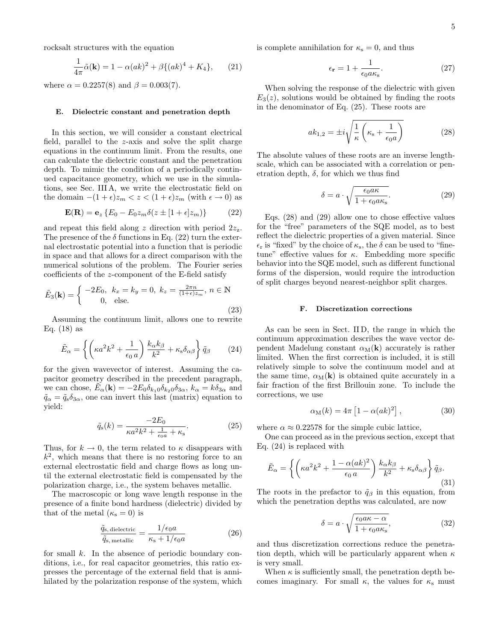rocksalt structures with the equation

$$
\frac{1}{4\pi}\tilde{\alpha}(\mathbf{k}) = 1 - \alpha(ak)^2 + \beta\{(ak)^4 + K_4\},\qquad(21)
$$

where  $\alpha = 0.2257(8)$  and  $\beta = 0.003(7)$ .

## E. Dielectric constant and penetration depth

In this section, we will consider a constant electrical field, parallel to the z-axis and solve the split charge equations in the continuum limit. From the results, one can calculate the dielectric constant and the penetration depth. To mimic the condition of a periodically continued capacitance geometry, which we use in the simulations, see Sec. III A, we write the electrostatic field on the domain  $-(1 + \epsilon)z_m < z < (1 + \epsilon)z_m$  (with  $\epsilon \to 0$ ) as

$$
\mathbf{E}(\mathbf{R}) = \mathbf{e}_z \left\{ E_0 - E_0 z_m \delta(z \pm [1 + \epsilon] z_m) \right\} \tag{22}
$$

and repeat this field along z direction with period  $2z_{\rm z}$ . The presence of the  $\delta$  functions in Eq. (22) turn the external electrostatic potential into a function that is periodic in space and that allows for a direct comparison with the numerical solutions of the problem. The Fourier series coefficients of the z-component of the E-field satisfy

$$
\tilde{E}_3(\mathbf{k}) = \begin{cases}\n-2E_0, & k_x = k_y = 0, \ k_z = \frac{2\pi n}{(1+\epsilon)z_m}, \ n \in \mathbb{N} \\
0, & \text{else.} \n\end{cases}
$$
\n(23)

Assuming the continuum limit, allows one to rewrite Eq.  $(18)$  as

$$
\tilde{E}_{\alpha} = \left\{ \left( \kappa a^2 k^2 + \frac{1}{\epsilon_0 a} \right) \frac{k_{\alpha} k_{\beta}}{k^2} + \kappa_{\rm s} \delta_{\alpha \beta} \right\} \tilde{q}_{\beta} \qquad (24)
$$

for the given wavevector of interest. Assuming the capacitor geometry described in the precedent paragraph, we can chose,  $\tilde{E}_{\alpha}(\mathbf{k}) = -2E_0\delta_{k_10}\delta_{k_20}\delta_{3\alpha}$ ,  $k_{\alpha} = k\delta_{3\alpha}$  and  $\tilde{q}_{\alpha} = \tilde{q}_{s}\delta_{3\alpha}$ , one can invert this last (matrix) equation to yield:

$$
\tilde{q}_{\rm s}(k) = \frac{-2E_0}{\kappa a^2 k^2 + \frac{1}{\epsilon_0 a} + \kappa_{\rm s}}.\tag{25}
$$

Thus, for  $k \to 0$ , the term related to  $\kappa$  disappears with  $k^2$ , which means that there is no restoring force to an external electrostatic field and charge flows as long until the external electrostatic field is compensated by the polarization charge, i.e., the system behaves metallic.

The macroscopic or long wave length response in the presence of a finite bond hardness (dielectric) divided by that of the metal  $(\kappa_s = 0)$  is

$$
\frac{\tilde{q}_{\rm s, dielectric}}{\tilde{q}_{\rm s, metallic}} = \frac{1/\epsilon_0 a}{\kappa_{\rm s} + 1/\epsilon_0 a} \tag{26}
$$

for small  $k$ . In the absence of periodic boundary conditions, i.e., for real capacitor geometries, this ratio expresses the percentage of the external field that is annihilated by the polarization response of the system, which is complete annihilation for  $\kappa_s = 0$ , and thus

$$
\epsilon_{\mathbf{r}} = 1 + \frac{1}{\epsilon_0 a \kappa_{\mathbf{s}}}.\tag{27}
$$

When solving the response of the dielectric with given  $E_3(z)$ , solutions would be obtained by finding the roots in the denominator of Eq. (25). These roots are

$$
ak_{1,2} = \pm i\sqrt{\frac{1}{\kappa} \left(\kappa_{\rm s} + \frac{1}{\epsilon_0 a}\right)}\tag{28}
$$

The absolute values of these roots are an inverse lengthscale, which can be associated with a correlation or penetration depth,  $\delta$ , for which we thus find

$$
\delta = a \cdot \sqrt{\frac{\epsilon_0 a \kappa}{1 + \epsilon_0 a \kappa_s}}.\tag{29}
$$

Eqs. (28) and (29) allow one to chose effective values for the "free" parameters of the SQE model, as to best reflect the dielectric properties of a given material. Since  $\epsilon_r$  is "fixed" by the choice of  $\kappa_s$ , the  $\delta$  can be used to "finetune" effective values for  $\kappa$ . Embedding more specific behavior into the SQE model, such as different functional forms of the dispersion, would require the introduction of split charges beyond nearest-neighbor split charges.

#### F. Discretization corrections

As can be seen in Sect. II D, the range in which the continuum approximation describes the wave vector dependent Madelung constant  $\alpha_M(\mathbf{k})$  accurately is rather limited. When the first correction is included, it is still relatively simple to solve the continuum model and at the same time,  $\alpha_M(k)$  is obtained quite accurately in a fair fraction of the first Brillouin zone. To include the corrections, we use

$$
\alpha_{\rm M}(k) = 4\pi \left[ 1 - \alpha (ak)^2 \right],\tag{30}
$$

where  $\alpha \approx 0.22578$  for the simple cubic lattice,

One can proceed as in the previous section, except that Eq. (24) is replaced with

$$
\tilde{E}_{\alpha} = \left\{ \left( \kappa a^2 k^2 + \frac{1 - \alpha (ak)^2}{\epsilon_0 a} \right) \frac{k_{\alpha} k_{\beta}}{k^2} + \kappa_s \delta_{\alpha \beta} \right\} \tilde{q}_{\beta}.
$$
\n(31)

The roots in the prefactor to  $\tilde{q}_{\beta}$  in this equation, from which the penetration depths was calculated, are now

$$
\delta = a \cdot \sqrt{\frac{\epsilon_0 a \kappa - \alpha}{1 + \epsilon_0 a \kappa_s}},\tag{32}
$$

and thus discretization corrections reduce the penetration depth, which will be particularly apparent when  $\kappa$ is very small.

When  $\kappa$  is sufficiently small, the penetration depth becomes imaginary. For small  $\kappa$ , the values for  $\kappa$ <sub>s</sub> must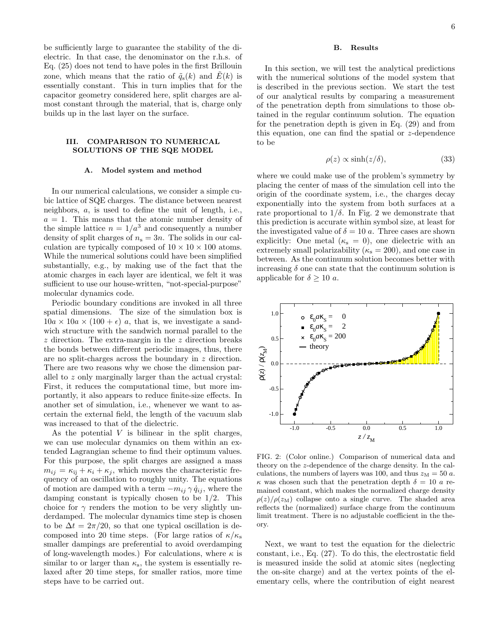be sufficiently large to guarantee the stability of the dielectric. In that case, the denominator on the r.h.s. of Eq. (25) does not tend to have poles in the first Brillouin zone, which means that the ratio of  $\tilde{q}_s(k)$  and  $\tilde{E}(k)$  is essentially constant. This in turn implies that for the capacitor geometry considered here, split charges are almost constant through the material, that is, charge only builds up in the last layer on the surface.

# III. COMPARISON TO NUMERICAL SOLUTIONS OF THE SQE MODEL

#### A. Model system and method

In our numerical calculations, we consider a simple cubic lattice of SQE charges. The distance between nearest neighbors, a, is used to define the unit of length, i.e.,  $a = 1$ . This means that the atomic number density of the simple lattice  $n = 1/a^3$  and consequently a number density of split charges of  $n_s = 3n$ . The solids in our calculation are typically composed of  $10 \times 10 \times 100$  atoms. While the numerical solutions could have been simplified substantially, e.g., by making use of the fact that the atomic charges in each layer are identical, we felt it was sufficient to use our house-written, "not-special-purpose" molecular dynamics code.

Periodic boundary conditions are invoked in all three spatial dimensions. The size of the simulation box is  $10a \times 10a \times (100 + \epsilon)$  a, that is, we investigate a sandwich structure with the sandwich normal parallel to the z direction. The extra-margin in the z direction breaks the bonds between different periodic images, thus, there are no split-charges across the boundary in z direction. There are two reasons why we chose the dimension parallel to z only marginally larger than the actual crystal: First, it reduces the computational time, but more importantly, it also appears to reduce finite-size effects. In another set of simulation, i.e., whenever we want to ascertain the external field, the length of the vacuum slab was increased to that of the dielectric.

As the potential  $V$  is bilinear in the split charges, we can use molecular dynamics on them within an extended Lagrangian scheme to find their optimum values. For this purpose, the split charges are assigned a mass  $m_{ij} = \kappa_{ij} + \kappa_i + \kappa_j$ , which moves the characteristic frequency of an oscillation to roughly unity. The equations of motion are damped with a term  $-m_{ij} \gamma \dot{q}_{ij}$ , where the damping constant is typically chosen to be 1/2. This choice for  $\gamma$  renders the motion to be very slightly underdamped. The molecular dynamics time step is chosen to be  $\Delta t = 2\pi/20$ , so that one typical oscillation is decomposed into 20 time steps. (For large ratios of  $\kappa/\kappa_s$ ) smaller dampings are preferential to avoid overdamping of long-wavelength modes.) For calculations, where  $\kappa$  is similar to or larger than  $\kappa_s$ , the system is essentially relaxed after 20 time steps, for smaller ratios, more time steps have to be carried out.

## B. Results

In this section, we will test the analytical predictions with the numerical solutions of the model system that is described in the previous section. We start the test of our analytical results by comparing a measurement of the penetration depth from simulations to those obtained in the regular continuum solution. The equation for the penetration depth is given in Eq. (29) and from this equation, one can find the spatial or z-dependence to be

$$
\rho(z) \propto \sinh(z/\delta),\tag{33}
$$

where we could make use of the problem's symmetry by placing the center of mass of the simulation cell into the origin of the coordinate system, i.e., the charges decay exponentially into the system from both surfaces at a rate proportional to  $1/\delta$ . In Fig. 2 we demonstrate that this prediction is accurate within symbol size, at least for the investigated value of  $\delta = 10 a$ . Three cases are shown explicitly: One metal  $(\kappa_s = 0)$ , one dielectric with an extremely small polarizability ( $\kappa$ <sub>s</sub> = 200), and one case in between. As the continuum solution becomes better with increasing  $\delta$  one can state that the continuum solution is applicable for  $\delta > 10$  a.



FIG. 2: (Color online.) Comparison of numerical data and theory on the z-dependence of the charge density. In the calculations, the numbers of layers was 100, and thus  $z_M = 50$  a.  $\kappa$  was chosen such that the penetration depth  $\delta = 10$  a remained constant, which makes the normalized charge density  $\rho(z)/\rho(z_M)$  collapse onto a single curve. The shaded area reflects the (normalized) surface charge from the continuum limit treatment. There is no adjustable coefficient in the theory.

Next, we want to test the equation for the dielectric constant, i.e., Eq. (27). To do this, the electrostatic field is measured inside the solid at atomic sites (neglecting the on-site charge) and at the vertex points of the elementary cells, where the contribution of eight nearest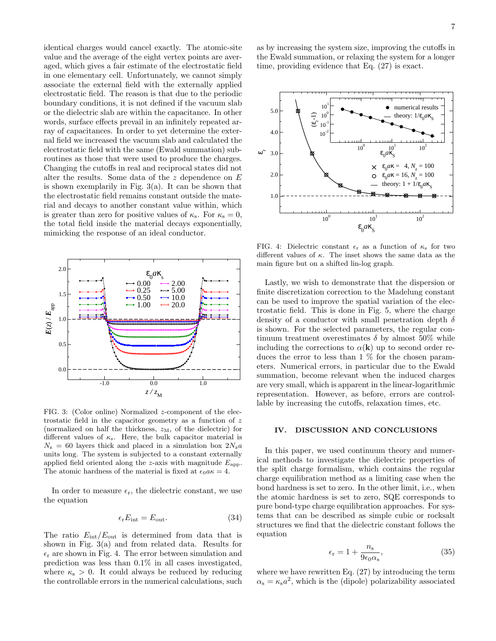identical charges would cancel exactly. The atomic-site value and the average of the eight vertex points are averaged, which gives a fair estimate of the electrostatic field in one elementary cell. Unfortunately, we cannot simply associate the external field with the externally applied electrostatic field. The reason is that due to the periodic boundary conditions, it is not defined if the vacuum slab or the dielectric slab are within the capacitance. In other words, surface effects prevail in an infinitely repeated array of capacitances. In order to yet determine the external field we increased the vacuum slab and calculated the electrostatic field with the same (Ewald summation) subroutines as those that were used to produce the charges. Changing the cutoffs in real and reciprocal states did not alter the results. Some data of the  $z$  dependence on  $E$ is shown exemplarily in Fig.  $3(a)$ . It can be shown that the electrostatic field remains constant outside the material and decays to another constant value within, which is greater than zero for positive values of  $\kappa_{\rm s}$ . For  $\kappa_{\rm s} = 0$ , the total field inside the material decays exponentially, mimicking the response of an ideal conductor.



FIG. 3: (Color online) Normalized z-component of the electrostatic field in the capacitor geometry as a function of z (normalized on half the thickness,  $z_M$ , of the dielectric) for different values of  $\kappa$ <sub>s</sub>. Here, the bulk capacitor material is  $N_z = 60$  layers thick and placed in a simulation box  $2N_z a$ units long. The system is subjected to a constant externally applied field oriented along the z-axis with magnitude  $E_{\text{app}}$ . The atomic hardness of the material is fixed at  $\epsilon_0 a \kappa = 4$ .

In order to measure  $\epsilon_r$ , the dielectric constant, we use the equation

$$
\epsilon_{\rm r} E_{\rm int} = E_{\rm out}.\tag{34}
$$

The ratio  $E_{\text{int}}/E_{\text{out}}$  is determined from data that is shown in Fig. 3(a) and from related data. Results for  $\epsilon_r$  are shown in Fig. 4. The error between simulation and prediction was less than 0.1% in all cases investigated, where  $\kappa_s > 0$ . It could always be reduced by reducing the controllable errors in the numerical calculations, such as by increasing the system size, improving the cutoffs in the Ewald summation, or relaxing the system for a longer time, providing evidence that Eq. (27) is exact.



FIG. 4: Dielectric constant  $\epsilon_r$  as a function of  $\kappa_s$  for two different values of  $\kappa$ . The inset shows the same data as the main figure but on a shifted lin-log graph.

Lastly, we wish to demonstrate that the dispersion or finite discretization correction to the Madelung constant can be used to improve the spatial variation of the electrostatic field. This is done in Fig. 5, where the charge density of a conductor with small penetration depth  $\delta$ is shown. For the selected parameters, the regular continuum treatment overestimates  $\delta$  by almost 50% while including the corrections to  $\alpha(\mathbf{k})$  up to second order reduces the error to less than 1 % for the chosen parameters. Numerical errors, in particular due to the Ewald summation, become relevant when the induced charges are very small, which is apparent in the linear-logarithmic representation. However, as before, errors are controllable by increasing the cutoffs, relaxation times, etc.

# IV. DISCUSSION AND CONCLUSIONS

In this paper, we used continuum theory and numerical methods to investigate the dielectric properties of the split charge formalism, which contains the regular charge equilibration method as a limiting case when the bond hardness is set to zero. In the other limit, i.e., when the atomic hardness is set to zero, SQE corresponds to pure bond-type charge equilibration approaches. For systems that can be described as simple cubic or rocksalt structures we find that the dielectric constant follows the equation

$$
\epsilon_{\rm r} = 1 + \frac{n_{\rm s}}{9\epsilon_0 \alpha_{\rm s}},\tag{35}
$$

where we have rewritten Eq. (27) by introducing the term  $\alpha_{\rm s} = \kappa_{\rm s} a^2$ , which is the (dipole) polarizability associated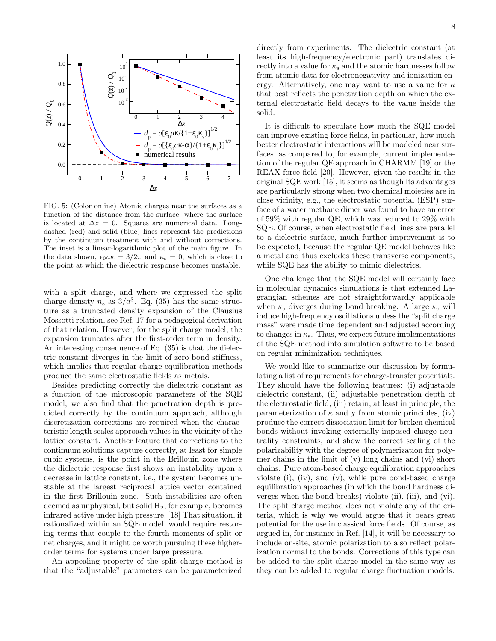

FIG. 5: (Color online) Atomic charges near the surfaces as a function of the distance from the surface, where the surface is located at  $\Delta z = 0$ . Squares are numerical data. Longdashed (red) and solid (blue) lines represent the predictions by the continuum treatment with and without corrections. The inset is a linear-logarithmic plot of the main figure. In the data shown,  $\epsilon_0 a \kappa = 3/2\pi$  and  $\kappa_s = 0$ , which is close to the point at which the dielectric response becomes unstable.

with a split charge, and where we expressed the split charge density  $n_s$  as  $3/a^3$ . Eq. (35) has the same structure as a truncated density expansion of the Clausius Mossotti relation, see Ref. 17 for a pedagogical derivation of that relation. However, for the split charge model, the expansion truncates after the first-order term in density. An interesting consequence of Eq. (35) is that the dielectric constant diverges in the limit of zero bond stiffness, which implies that regular charge equilibration methods produce the same electrostatic fields as metals.

Besides predicting correctly the dielectric constant as a function of the microscopic parameters of the SQE model, we also find that the penetration depth is predicted correctly by the continuum approach, although discretization corrections are required when the characteristic length scales approach values in the vicinity of the lattice constant. Another feature that corrections to the continuum solutions capture correctly, at least for simple cubic systems, is the point in the Brillouin zone where the dielectric response first shows an instability upon a decrease in lattice constant, i.e., the system becomes unstable at the largest reciprocal lattice vector contained in the first Brillouin zone. Such instabilities are often deemed as unphysical, but solid  $H_2$ , for example, becomes infrared active under high pressure. [18] That situation, if rationalized within an SQE model, would require restoring terms that couple to the fourth moments of split or net charges, and it might be worth pursuing these higherorder terms for systems under large pressure.

An appealing property of the split charge method is that the "adjustable" parameters can be parameterized directly from experiments. The dielectric constant (at least its high-frequency/electronic part) translates directly into a value for  $\kappa_s$  and the atomic hardnesses follow from atomic data for electronegativity and ionization energy. Alternatively, one may want to use a value for  $\kappa$ that best reflects the penetration depth on which the external electrostatic field decays to the value inside the solid.

It is difficult to speculate how much the SQE model can improve existing force fields, in particular, how much better electrostatic interactions will be modeled near surfaces, as compared to, for example, current implementation of the regular QE approach in CHARMM [19] or the REAX force field [20]. However, given the results in the original SQE work [15], it seems as though its advantages are particularly strong when two chemical moieties are in close vicinity, e.g., the electrostatic potential (ESP) surface of a water methane dimer was found to have an error of 59% with regular QE, which was reduced to 29% with SQE. Of course, when electrostatic field lines are parallel to a dielectric surface, much further improvement is to be expected, because the regular QE model behaves like a metal and thus excludes these transverse components, while SQE has the ability to mimic dielectrics.

One challenge that the SQE model will certainly face in molecular dynamics simulations is that extended Lagrangian schemes are not straightforwardly applicable when  $\kappa_s$  diverges during bond breaking. A large  $\kappa_s$  will induce high-frequency oscillations unless the "split charge mass" were made time dependent and adjusted according to changes in  $\kappa_{\rm s}$ . Thus, we expect future implementations of the SQE method into simulation software to be based on regular minimization techniques.

We would like to summarize our discussion by formulating a list of requirements for charge-transfer potentials. They should have the following features: (i) adjustable dielectric constant, (ii) adjustable penetration depth of the electrostatic field, (iii) retain, at least in principle, the parameterization of  $\kappa$  and  $\chi$  from atomic principles, (iv) produce the correct dissociation limit for broken chemical bonds without invoking externally-imposed charge neutrality constraints, and show the correct scaling of the polarizability with the degree of polymerization for polymer chains in the limit of (v) long chains and (vi) short chains. Pure atom-based charge equilibration approaches violate (i), (iv), and (v), while pure bond-based charge equilibration approaches (in which the bond hardness diverges when the bond breaks) violate (ii), (iii), and (vi). The split charge method does not violate any of the criteria, which is why we would argue that it bears great potential for the use in classical force fields. Of course, as argued in, for instance in Ref. [14], it will be necessary to include on-site, atomic polarization to also reflect polarization normal to the bonds. Corrections of this type can be added to the split-charge model in the same way as they can be added to regular charge fluctuation models.